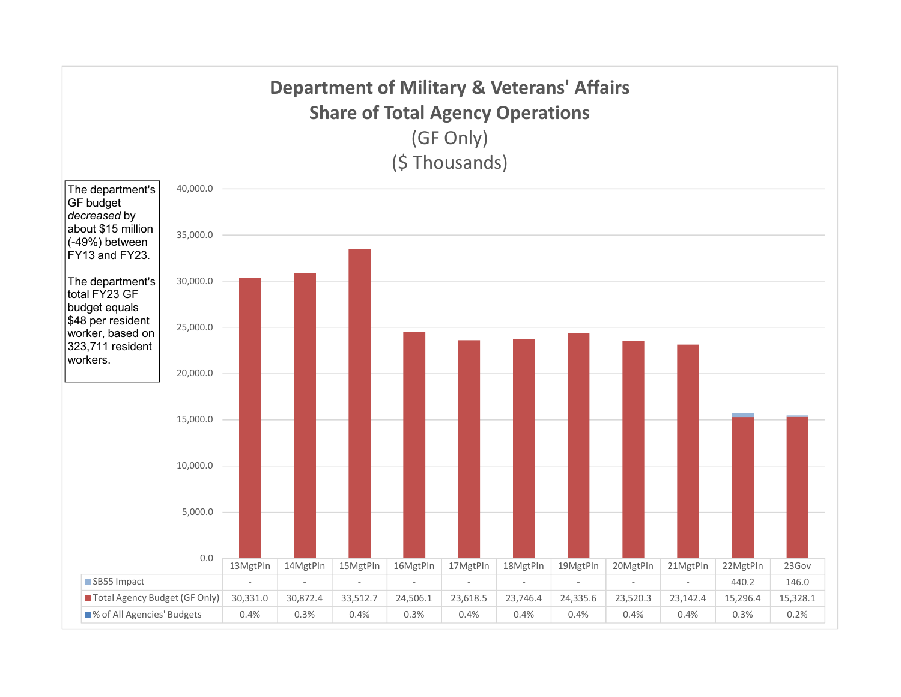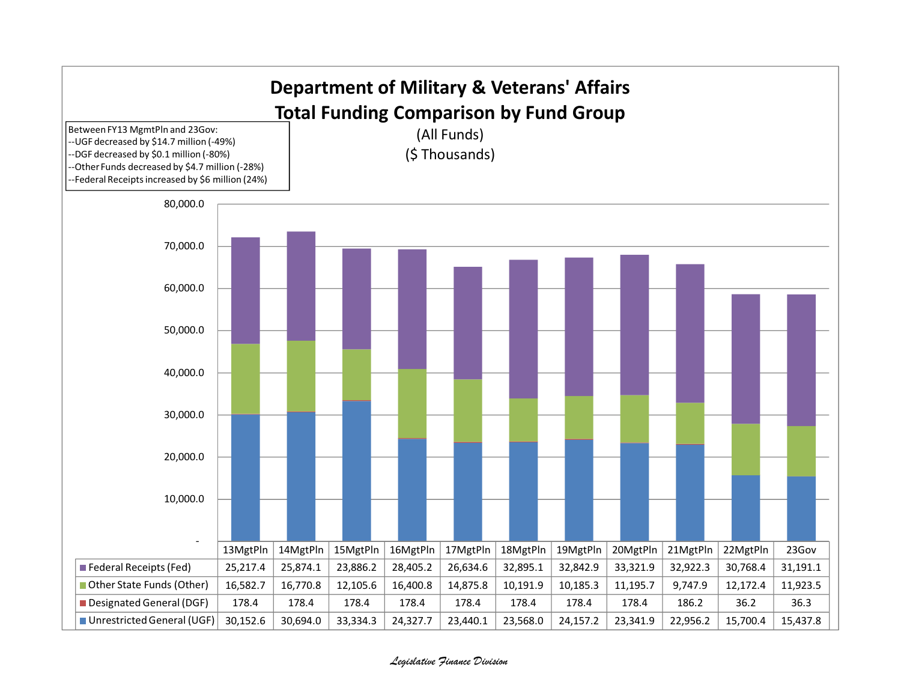